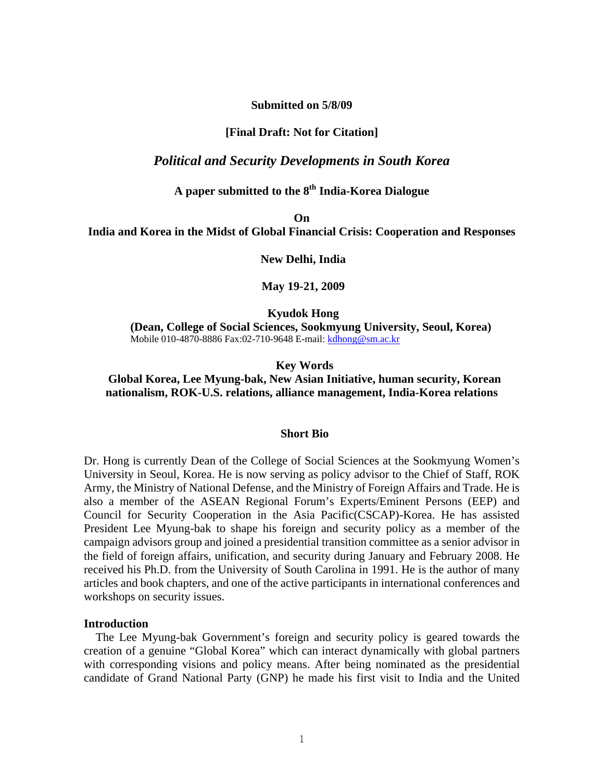**Submitted on 5/8/09** 

# **[Final Draft: Not for Citation]**

# *Political and Security Developments in South Korea*

# **A paper submitted to the 8th India-Korea Dialogue**

**On** 

**India and Korea in the Midst of Global Financial Crisis: Cooperation and Responses** 

 **New Delhi, India** 

 **May 19-21, 2009** 

 **Kyudok Hong** 

**(Dean, College of Social Sciences, Sookmyung University, Seoul, Korea)**  Mobile 010-4870-8886 Fax:02-710-9648 E-mail: kdhong@sm.ac.kr

# **Key Words**

# **Global Korea, Lee Myung-bak, New Asian Initiative, human security, Korean nationalism, ROK-U.S. relations, alliance management, India-Korea relations**

#### **Short Bio**

Dr. Hong is currently Dean of the College of Social Sciences at the Sookmyung Women's University in Seoul, Korea. He is now serving as policy advisor to the Chief of Staff, ROK Army, the Ministry of National Defense, and the Ministry of Foreign Affairs and Trade. He is also a member of the ASEAN Regional Forum's Experts/Eminent Persons (EEP) and Council for Security Cooperation in the Asia Pacific(CSCAP)-Korea. He has assisted President Lee Myung-bak to shape his foreign and security policy as a member of the campaign advisors group and joined a presidential transition committee as a senior advisor in the field of foreign affairs, unification, and security during January and February 2008. He received his Ph.D. from the University of South Carolina in 1991. He is the author of many articles and book chapters, and one of the active participants in international conferences and workshops on security issues.

## **Introduction**

The Lee Myung-bak Government's foreign and security policy is geared towards the creation of a genuine "Global Korea" which can interact dynamically with global partners with corresponding visions and policy means. After being nominated as the presidential candidate of Grand National Party (GNP) he made his first visit to India and the United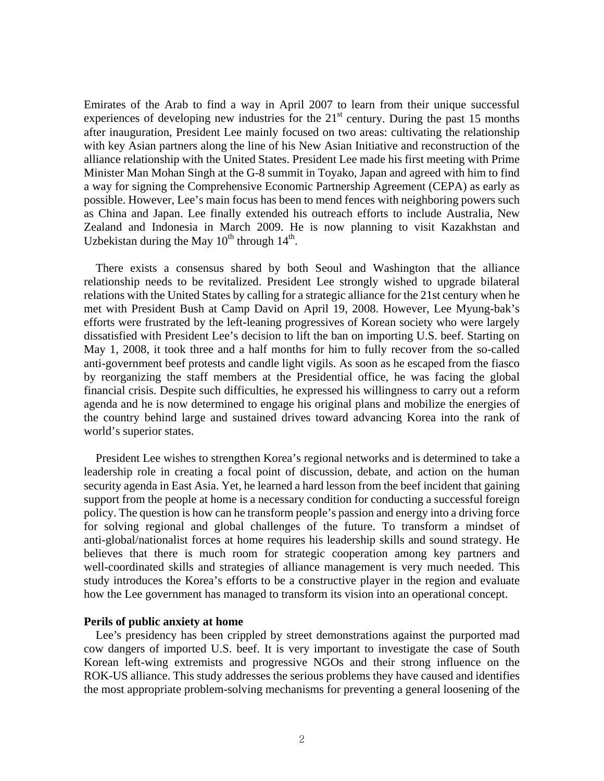Emirates of the Arab to find a way in April 2007 to learn from their unique successful experiences of developing new industries for the  $21<sup>st</sup>$  century. During the past 15 months after inauguration, President Lee mainly focused on two areas: cultivating the relationship with key Asian partners along the line of his New Asian Initiative and reconstruction of the alliance relationship with the United States. President Lee made his first meeting with Prime Minister Man Mohan Singh at the G-8 summit in Toyako, Japan and agreed with him to find a way for signing the Comprehensive Economic Partnership Agreement (CEPA) as early as possible. However, Lee's main focus has been to mend fences with neighboring powers such as China and Japan. Lee finally extended his outreach efforts to include Australia, New Zealand and Indonesia in March 2009. He is now planning to visit Kazakhstan and Uzbekistan during the May  $10^{th}$  through  $14^{th}$ .

There exists a consensus shared by both Seoul and Washington that the alliance relationship needs to be revitalized. President Lee strongly wished to upgrade bilateral relations with the United States by calling for a strategic alliance for the 21st century when he met with President Bush at Camp David on April 19, 2008. However, Lee Myung-bak's efforts were frustrated by the left-leaning progressives of Korean society who were largely dissatisfied with President Lee's decision to lift the ban on importing U.S. beef. Starting on May 1, 2008, it took three and a half months for him to fully recover from the so-called anti-government beef protests and candle light vigils. As soon as he escaped from the fiasco by reorganizing the staff members at the Presidential office, he was facing the global financial crisis. Despite such difficulties, he expressed his willingness to carry out a reform agenda and he is now determined to engage his original plans and mobilize the energies of the country behind large and sustained drives toward advancing Korea into the rank of world's superior states.

President Lee wishes to strengthen Korea's regional networks and is determined to take a leadership role in creating a focal point of discussion, debate, and action on the human security agenda in East Asia. Yet, he learned a hard lesson from the beef incident that gaining support from the people at home is a necessary condition for conducting a successful foreign policy. The question is how can he transform people's passion and energy into a driving force for solving regional and global challenges of the future. To transform a mindset of anti-global/nationalist forces at home requires his leadership skills and sound strategy. He believes that there is much room for strategic cooperation among key partners and well-coordinated skills and strategies of alliance management is very much needed. This study introduces the Korea's efforts to be a constructive player in the region and evaluate how the Lee government has managed to transform its vision into an operational concept.

#### **Perils of public anxiety at home**

Lee's presidency has been crippled by street demonstrations against the purported mad cow dangers of imported U.S. beef. It is very important to investigate the case of South Korean left-wing extremists and progressive NGOs and their strong influence on the ROK-US alliance. This study addresses the serious problems they have caused and identifies the most appropriate problem-solving mechanisms for preventing a general loosening of the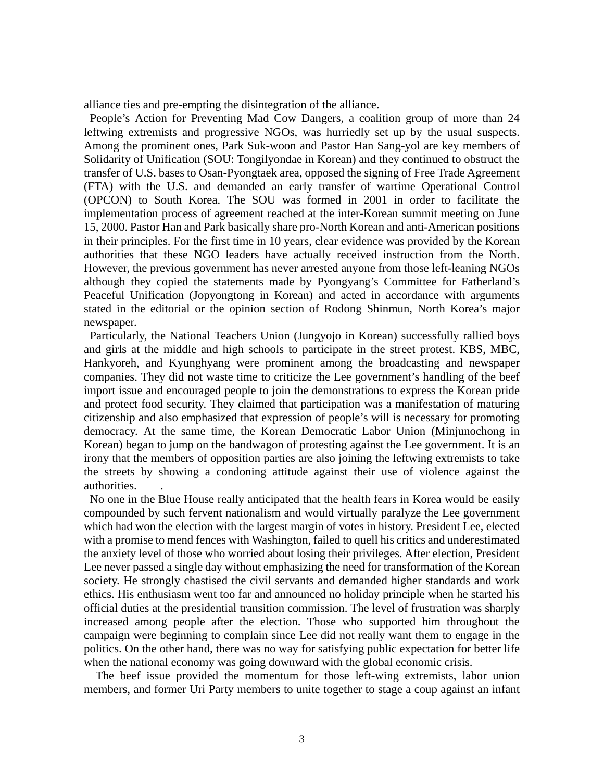alliance ties and pre-empting the disintegration of the alliance.

 People's Action for Preventing Mad Cow Dangers*,* a coalition group of more than 24 leftwing extremists and progressive NGOs, was hurriedly set up by the usual suspects. Among the prominent ones, Park Suk-woon and Pastor Han Sang-yol are key members of Solidarity of Unification (SOU: Tongilyondae in Korean) and they continued to obstruct the transfer of U.S. bases to Osan-Pyongtaek area, opposed the signing of Free Trade Agreement (FTA) with the U.S. and demanded an early transfer of wartime Operational Control (OPCON) to South Korea. The SOU was formed in 2001 in order to facilitate the implementation process of agreement reached at the inter-Korean summit meeting on June 15, 2000. Pastor Han and Park basically share pro-North Korean and anti-American positions in their principles. For the first time in 10 years, clear evidence was provided by the Korean authorities that these NGO leaders have actually received instruction from the North. However, the previous government has never arrested anyone from those left-leaning NGOs although they copied the statements made by Pyongyang's Committee for Fatherland's Peaceful Unification (Jopyongtong in Korean) and acted in accordance with arguments stated in the editorial or the opinion section of Rodong Shinmun, North Korea's major newspaper.

 Particularly, the National Teachers Union (Jungyojo in Korean) successfully rallied boys and girls at the middle and high schools to participate in the street protest. KBS, MBC, Hankyoreh, and Kyunghyang were prominent among the broadcasting and newspaper companies. They did not waste time to criticize the Lee government's handling of the beef import issue and encouraged people to join the demonstrations to express the Korean pride and protect food security. They claimed that participation was a manifestation of maturing citizenship and also emphasized that expression of people's will is necessary for promoting democracy. At the same time, the Korean Democratic Labor Union (Minjunochong in Korean) began to jump on the bandwagon of protesting against the Lee government. It is an irony that the members of opposition parties are also joining the leftwing extremists to take the streets by showing a condoning attitude against their use of violence against the authorities. .

 No one in the Blue House really anticipated that the health fears in Korea would be easily compounded by such fervent nationalism and would virtually paralyze the Lee government which had won the election with the largest margin of votes in history. President Lee, elected with a promise to mend fences with Washington, failed to quell his critics and underestimated the anxiety level of those who worried about losing their privileges. After election, President Lee never passed a single day without emphasizing the need for transformation of the Korean society. He strongly chastised the civil servants and demanded higher standards and work ethics. His enthusiasm went too far and announced no holiday principle when he started his official duties at the presidential transition commission. The level of frustration was sharply increased among people after the election. Those who supported him throughout the campaign were beginning to complain since Lee did not really want them to engage in the politics. On the other hand, there was no way for satisfying public expectation for better life when the national economy was going downward with the global economic crisis.

The beef issue provided the momentum for those left-wing extremists, labor union members, and former Uri Party members to unite together to stage a coup against an infant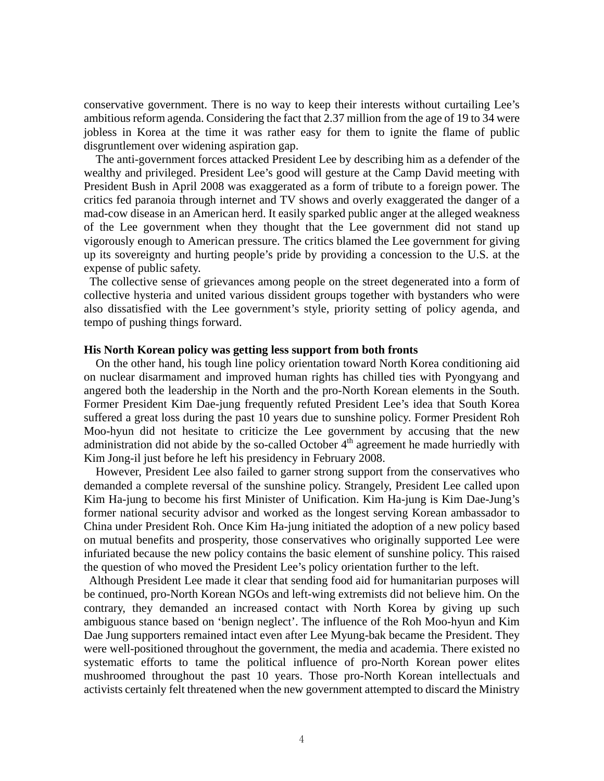conservative government. There is no way to keep their interests without curtailing Lee's ambitious reform agenda. Considering the fact that 2.37 million from the age of 19 to 34 were jobless in Korea at the time it was rather easy for them to ignite the flame of public disgruntlement over widening aspiration gap.

The anti-government forces attacked President Lee by describing him as a defender of the wealthy and privileged. President Lee's good will gesture at the Camp David meeting with President Bush in April 2008 was exaggerated as a form of tribute to a foreign power. The critics fed paranoia through internet and TV shows and overly exaggerated the danger of a mad-cow disease in an American herd. It easily sparked public anger at the alleged weakness of the Lee government when they thought that the Lee government did not stand up vigorously enough to American pressure. The critics blamed the Lee government for giving up its sovereignty and hurting people's pride by providing a concession to the U.S. at the expense of public safety.

 The collective sense of grievances among people on the street degenerated into a form of collective hysteria and united various dissident groups together with bystanders who were also dissatisfied with the Lee government's style, priority setting of policy agenda, and tempo of pushing things forward.

#### **His North Korean policy was getting less support from both fronts**

On the other hand, his tough line policy orientation toward North Korea conditioning aid on nuclear disarmament and improved human rights has chilled ties with Pyongyang and angered both the leadership in the North and the pro-North Korean elements in the South. Former President Kim Dae-jung frequently refuted President Lee's idea that South Korea suffered a great loss during the past 10 years due to sunshine policy. Former President Roh Moo-hyun did not hesitate to criticize the Lee government by accusing that the new administration did not abide by the so-called October  $4<sup>th</sup>$  agreement he made hurriedly with Kim Jong-il just before he left his presidency in February 2008.

However, President Lee also failed to garner strong support from the conservatives who demanded a complete reversal of the sunshine policy. Strangely, President Lee called upon Kim Ha-jung to become his first Minister of Unification. Kim Ha-jung is Kim Dae-Jung's former national security advisor and worked as the longest serving Korean ambassador to China under President Roh. Once Kim Ha-jung initiated the adoption of a new policy based on mutual benefits and prosperity, those conservatives who originally supported Lee were infuriated because the new policy contains the basic element of sunshine policy. This raised the question of who moved the President Lee's policy orientation further to the left.

 Although President Lee made it clear that sending food aid for humanitarian purposes will be continued, pro-North Korean NGOs and left-wing extremists did not believe him. On the contrary, they demanded an increased contact with North Korea by giving up such ambiguous stance based on 'benign neglect'. The influence of the Roh Moo-hyun and Kim Dae Jung supporters remained intact even after Lee Myung-bak became the President. They were well-positioned throughout the government, the media and academia. There existed no systematic efforts to tame the political influence of pro-North Korean power elites mushroomed throughout the past 10 years. Those pro-North Korean intellectuals and activists certainly felt threatened when the new government attempted to discard the Ministry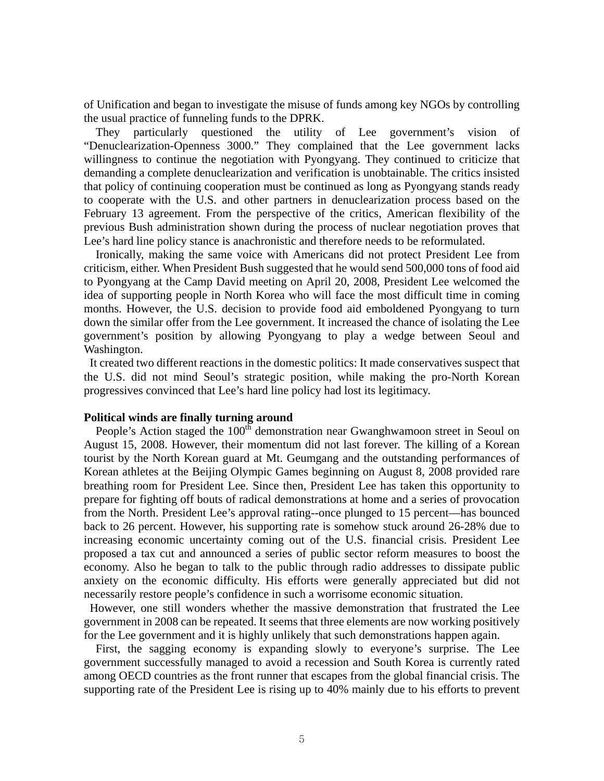of Unification and began to investigate the misuse of funds among key NGOs by controlling the usual practice of funneling funds to the DPRK.

They particularly questioned the utility of Lee government's vision of "Denuclearization-Openness 3000." They complained that the Lee government lacks willingness to continue the negotiation with Pyongyang. They continued to criticize that demanding a complete denuclearization and verification is unobtainable. The critics insisted that policy of continuing cooperation must be continued as long as Pyongyang stands ready to cooperate with the U.S. and other partners in denuclearization process based on the February 13 agreement. From the perspective of the critics, American flexibility of the previous Bush administration shown during the process of nuclear negotiation proves that Lee's hard line policy stance is anachronistic and therefore needs to be reformulated.

Ironically, making the same voice with Americans did not protect President Lee from criticism, either. When President Bush suggested that he would send 500,000 tons of food aid to Pyongyang at the Camp David meeting on April 20, 2008, President Lee welcomed the idea of supporting people in North Korea who will face the most difficult time in coming months. However, the U.S. decision to provide food aid emboldened Pyongyang to turn down the similar offer from the Lee government. It increased the chance of isolating the Lee government's position by allowing Pyongyang to play a wedge between Seoul and Washington.

 It created two different reactions in the domestic politics: It made conservatives suspect that the U.S. did not mind Seoul's strategic position, while making the pro-North Korean progressives convinced that Lee's hard line policy had lost its legitimacy.

# **Political winds are finally turning around**

People's Action staged the 100<sup>th</sup> demonstration near Gwanghwamoon street in Seoul on August 15, 2008. However, their momentum did not last forever. The killing of a Korean tourist by the North Korean guard at Mt. Geumgang and the outstanding performances of Korean athletes at the Beijing Olympic Games beginning on August 8, 2008 provided rare breathing room for President Lee. Since then, President Lee has taken this opportunity to prepare for fighting off bouts of radical demonstrations at home and a series of provocation from the North. President Lee's approval rating--once plunged to 15 percent—has bounced back to 26 percent. However, his supporting rate is somehow stuck around 26-28% due to increasing economic uncertainty coming out of the U.S. financial crisis. President Lee proposed a tax cut and announced a series of public sector reform measures to boost the economy. Also he began to talk to the public through radio addresses to dissipate public anxiety on the economic difficulty. His efforts were generally appreciated but did not necessarily restore people's confidence in such a worrisome economic situation.

 However, one still wonders whether the massive demonstration that frustrated the Lee government in 2008 can be repeated. It seems that three elements are now working positively for the Lee government and it is highly unlikely that such demonstrations happen again.

First, the sagging economy is expanding slowly to everyone's surprise. The Lee government successfully managed to avoid a recession and South Korea is currently rated among OECD countries as the front runner that escapes from the global financial crisis. The supporting rate of the President Lee is rising up to 40% mainly due to his efforts to prevent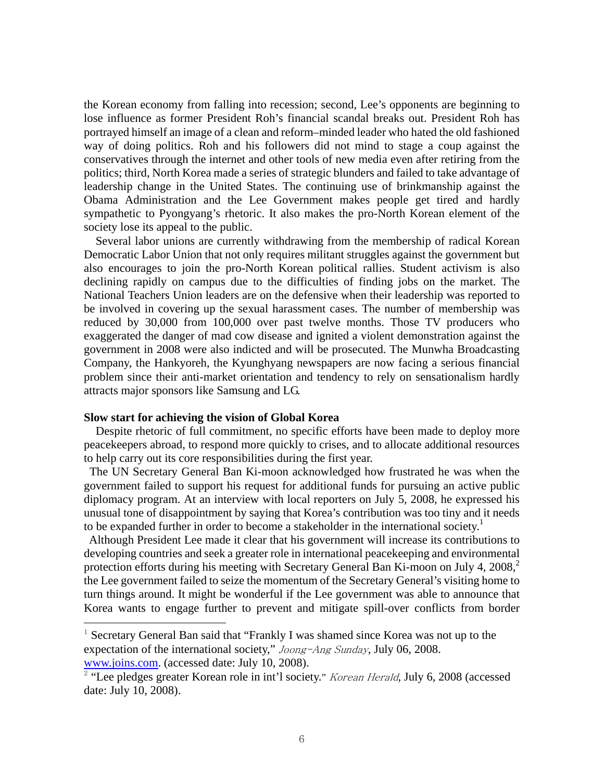the Korean economy from falling into recession; second, Lee's opponents are beginning to lose influence as former President Roh's financial scandal breaks out. President Roh has portrayed himself an image of a clean and reform–minded leader who hated the old fashioned way of doing politics. Roh and his followers did not mind to stage a coup against the conservatives through the internet and other tools of new media even after retiring from the politics; third, North Korea made a series of strategic blunders and failed to take advantage of leadership change in the United States. The continuing use of brinkmanship against the Obama Administration and the Lee Government makes people get tired and hardly sympathetic to Pyongyang's rhetoric. It also makes the pro-North Korean element of the society lose its appeal to the public.

Several labor unions are currently withdrawing from the membership of radical Korean Democratic Labor Union that not only requires militant struggles against the government but also encourages to join the pro-North Korean political rallies. Student activism is also declining rapidly on campus due to the difficulties of finding jobs on the market. The National Teachers Union leaders are on the defensive when their leadership was reported to be involved in covering up the sexual harassment cases. The number of membership was reduced by 30,000 from 100,000 over past twelve months. Those TV producers who exaggerated the danger of mad cow disease and ignited a violent demonstration against the government in 2008 were also indicted and will be prosecuted. The Munwha Broadcasting Company, the Hankyoreh, the Kyunghyang newspapers are now facing a serious financial problem since their anti-market orientation and tendency to rely on sensationalism hardly attracts major sponsors like Samsung and LG.

#### **Slow start for achieving the vision of Global Korea**

 $\overline{a}$ 

Despite rhetoric of full commitment, no specific efforts have been made to deploy more peacekeepers abroad, to respond more quickly to crises, and to allocate additional resources to help carry out its core responsibilities during the first year.

 The UN Secretary General Ban Ki-moon acknowledged how frustrated he was when the government failed to support his request for additional funds for pursuing an active public diplomacy program. At an interview with local reporters on July 5, 2008, he expressed his unusual tone of disappointment by saying that Korea's contribution was too tiny and it needs to be expanded further in order to become a stakeholder in the international society.<sup>1</sup>

 Although President Lee made it clear that his government will increase its contributions to developing countries and seek a greater role in international peacekeeping and environmental protection efforts during his meeting with Secretary General Ban Ki-moon on July 4,  $2008$ <sup>2</sup> the Lee government failed to seize the momentum of the Secretary General's visiting home to turn things around. It might be wonderful if the Lee government was able to announce that Korea wants to engage further to prevent and mitigate spill-over conflicts from border

<sup>&</sup>lt;sup>1</sup> Secretary General Ban said that "Frankly I was shamed since Korea was not up to the expectation of the international society," Joong-Ang Sunday*,* July 06, 2008. www.joins.com. (accessed date: July 10, 2008).

<sup>&</sup>lt;sup>2</sup> "Lee pledges greater Korean role in int'l society." *Korean Herald*, July 6, 2008 (accessed date: July 10, 2008).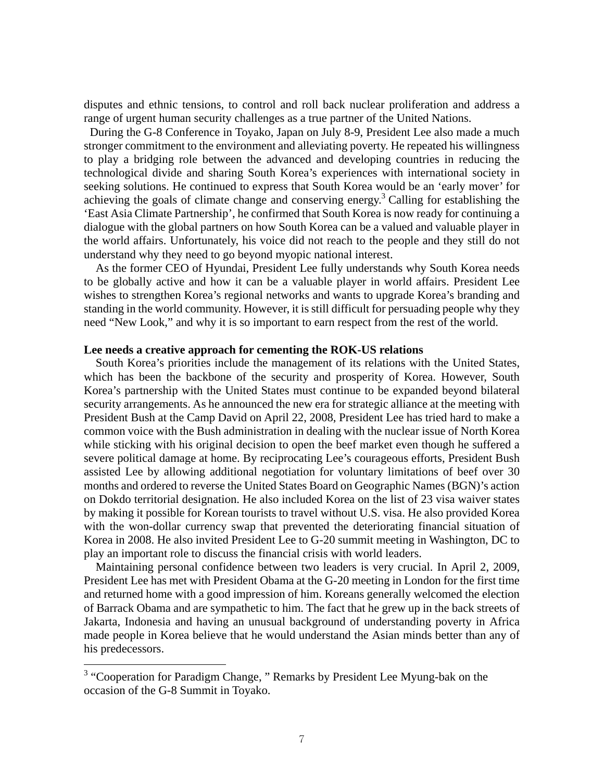disputes and ethnic tensions, to control and roll back nuclear proliferation and address a range of urgent human security challenges as a true partner of the United Nations.

 During the G-8 Conference in Toyako, Japan on July 8-9, President Lee also made a much stronger commitment to the environment and alleviating poverty. He repeated his willingness to play a bridging role between the advanced and developing countries in reducing the technological divide and sharing South Korea's experiences with international society in seeking solutions. He continued to express that South Korea would be an 'early mover' for achieving the goals of climate change and conserving energy.<sup>3</sup> Calling for establishing the 'East Asia Climate Partnership', he confirmed that South Korea is now ready for continuing a dialogue with the global partners on how South Korea can be a valued and valuable player in the world affairs. Unfortunately, his voice did not reach to the people and they still do not understand why they need to go beyond myopic national interest.

As the former CEO of Hyundai, President Lee fully understands why South Korea needs to be globally active and how it can be a valuable player in world affairs. President Lee wishes to strengthen Korea's regional networks and wants to upgrade Korea's branding and standing in the world community. However, it is still difficult for persuading people why they need "New Look," and why it is so important to earn respect from the rest of the world.

#### **Lee needs a creative approach for cementing the ROK-US relations**

South Korea's priorities include the management of its relations with the United States, which has been the backbone of the security and prosperity of Korea. However, South Korea's partnership with the United States must continue to be expanded beyond bilateral security arrangements. As he announced the new era for strategic alliance at the meeting with President Bush at the Camp David on April 22, 2008, President Lee has tried hard to make a common voice with the Bush administration in dealing with the nuclear issue of North Korea while sticking with his original decision to open the beef market even though he suffered a severe political damage at home. By reciprocating Lee's courageous efforts, President Bush assisted Lee by allowing additional negotiation for voluntary limitations of beef over 30 months and ordered to reverse the United States Board on Geographic Names (BGN)'s action on Dokdo territorial designation. He also included Korea on the list of 23 visa waiver states by making it possible for Korean tourists to travel without U.S. visa. He also provided Korea with the won-dollar currency swap that prevented the deteriorating financial situation of Korea in 2008. He also invited President Lee to G-20 summit meeting in Washington, DC to play an important role to discuss the financial crisis with world leaders.

Maintaining personal confidence between two leaders is very crucial. In April 2, 2009, President Lee has met with President Obama at the G-20 meeting in London for the first time and returned home with a good impression of him. Koreans generally welcomed the election of Barrack Obama and are sympathetic to him. The fact that he grew up in the back streets of Jakarta, Indonesia and having an unusual background of understanding poverty in Africa made people in Korea believe that he would understand the Asian minds better than any of his predecessors.

 $\overline{a}$ 

<sup>&</sup>lt;sup>3</sup> "Cooperation for Paradigm Change, " Remarks by President Lee Myung-bak on the occasion of the G-8 Summit in Toyako.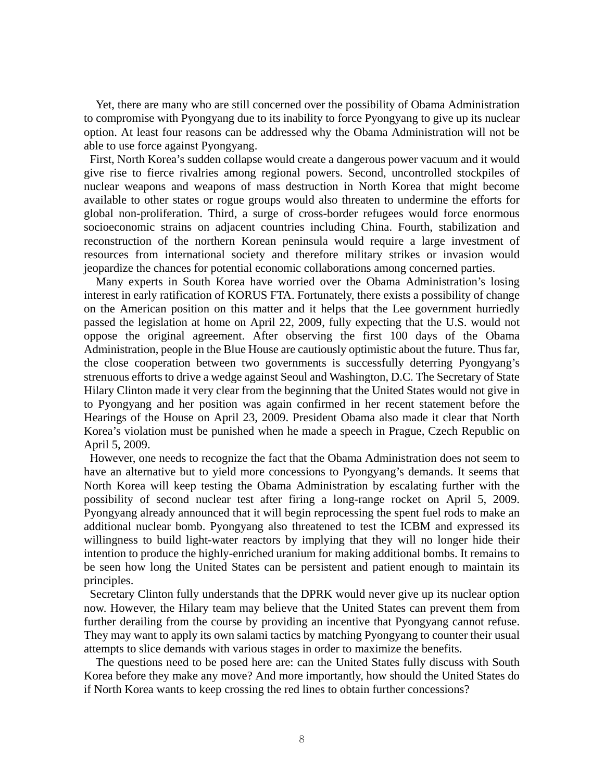Yet, there are many who are still concerned over the possibility of Obama Administration to compromise with Pyongyang due to its inability to force Pyongyang to give up its nuclear option. At least four reasons can be addressed why the Obama Administration will not be able to use force against Pyongyang.

 First, North Korea's sudden collapse would create a dangerous power vacuum and it would give rise to fierce rivalries among regional powers. Second, uncontrolled stockpiles of nuclear weapons and weapons of mass destruction in North Korea that might become available to other states or rogue groups would also threaten to undermine the efforts for global non-proliferation. Third, a surge of cross-border refugees would force enormous socioeconomic strains on adjacent countries including China. Fourth, stabilization and reconstruction of the northern Korean peninsula would require a large investment of resources from international society and therefore military strikes or invasion would jeopardize the chances for potential economic collaborations among concerned parties.

Many experts in South Korea have worried over the Obama Administration's losing interest in early ratification of KORUS FTA. Fortunately, there exists a possibility of change on the American position on this matter and it helps that the Lee government hurriedly passed the legislation at home on April 22, 2009, fully expecting that the U.S. would not oppose the original agreement. After observing the first 100 days of the Obama Administration, people in the Blue House are cautiously optimistic about the future. Thus far, the close cooperation between two governments is successfully deterring Pyongyang's strenuous efforts to drive a wedge against Seoul and Washington, D.C. The Secretary of State Hilary Clinton made it very clear from the beginning that the United States would not give in to Pyongyang and her position was again confirmed in her recent statement before the Hearings of the House on April 23, 2009. President Obama also made it clear that North Korea's violation must be punished when he made a speech in Prague, Czech Republic on April 5, 2009.

 However, one needs to recognize the fact that the Obama Administration does not seem to have an alternative but to yield more concessions to Pyongyang's demands. It seems that North Korea will keep testing the Obama Administration by escalating further with the possibility of second nuclear test after firing a long-range rocket on April 5, 2009. Pyongyang already announced that it will begin reprocessing the spent fuel rods to make an additional nuclear bomb. Pyongyang also threatened to test the ICBM and expressed its willingness to build light-water reactors by implying that they will no longer hide their intention to produce the highly-enriched uranium for making additional bombs. It remains to be seen how long the United States can be persistent and patient enough to maintain its principles.

 Secretary Clinton fully understands that the DPRK would never give up its nuclear option now. However, the Hilary team may believe that the United States can prevent them from further derailing from the course by providing an incentive that Pyongyang cannot refuse. They may want to apply its own salami tactics by matching Pyongyang to counter their usual attempts to slice demands with various stages in order to maximize the benefits.

The questions need to be posed here are: can the United States fully discuss with South Korea before they make any move? And more importantly, how should the United States do if North Korea wants to keep crossing the red lines to obtain further concessions?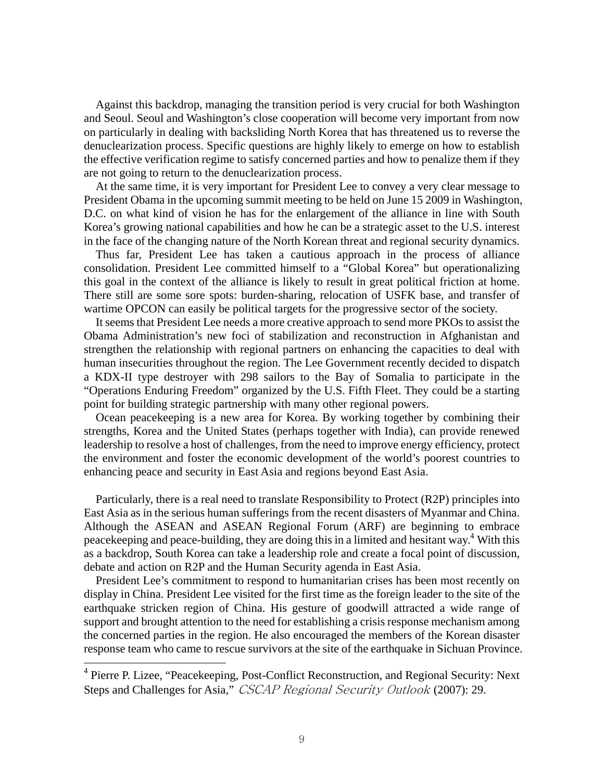Against this backdrop, managing the transition period is very crucial for both Washington and Seoul. Seoul and Washington's close cooperation will become very important from now on particularly in dealing with backsliding North Korea that has threatened us to reverse the denuclearization process. Specific questions are highly likely to emerge on how to establish the effective verification regime to satisfy concerned parties and how to penalize them if they are not going to return to the denuclearization process.

At the same time, it is very important for President Lee to convey a very clear message to President Obama in the upcoming summit meeting to be held on June 15 2009 in Washington, D.C. on what kind of vision he has for the enlargement of the alliance in line with South Korea's growing national capabilities and how he can be a strategic asset to the U.S. interest in the face of the changing nature of the North Korean threat and regional security dynamics.

Thus far, President Lee has taken a cautious approach in the process of alliance consolidation. President Lee committed himself to a "Global Korea" but operationalizing this goal in the context of the alliance is likely to result in great political friction at home. There still are some sore spots: burden-sharing, relocation of USFK base, and transfer of wartime OPCON can easily be political targets for the progressive sector of the society.

It seems that President Lee needs a more creative approach to send more PKOs to assist the Obama Administration's new foci of stabilization and reconstruction in Afghanistan and strengthen the relationship with regional partners on enhancing the capacities to deal with human insecurities throughout the region. The Lee Government recently decided to dispatch a KDX-II type destroyer with 298 sailors to the Bay of Somalia to participate in the "Operations Enduring Freedom" organized by the U.S. Fifth Fleet. They could be a starting point for building strategic partnership with many other regional powers.

Ocean peacekeeping is a new area for Korea. By working together by combining their strengths, Korea and the United States (perhaps together with India), can provide renewed leadership to resolve a host of challenges, from the need to improve energy efficiency, protect the environment and foster the economic development of the world's poorest countries to enhancing peace and security in East Asia and regions beyond East Asia.

Particularly, there is a real need to translate Responsibility to Protect (R2P) principles into East Asia as in the serious human sufferings from the recent disasters of Myanmar and China. Although the ASEAN and ASEAN Regional Forum (ARF) are beginning to embrace peacekeeping and peace-building, they are doing this in a limited and hesitant way.<sup>4</sup> With this as a backdrop, South Korea can take a leadership role and create a focal point of discussion, debate and action on R2P and the Human Security agenda in East Asia.

President Lee's commitment to respond to humanitarian crises has been most recently on display in China. President Lee visited for the first time as the foreign leader to the site of the earthquake stricken region of China. His gesture of goodwill attracted a wide range of support and brought attention to the need for establishing a crisis response mechanism among the concerned parties in the region. He also encouraged the members of the Korean disaster response team who came to rescue survivors at the site of the earthquake in Sichuan Province.

 $\overline{a}$ 

<sup>&</sup>lt;sup>4</sup> Pierre P. Lizee, "Peacekeeping, Post-Conflict Reconstruction, and Regional Security: Next Steps and Challenges for Asia," CSCAP Regional Security Outlook (2007): 29.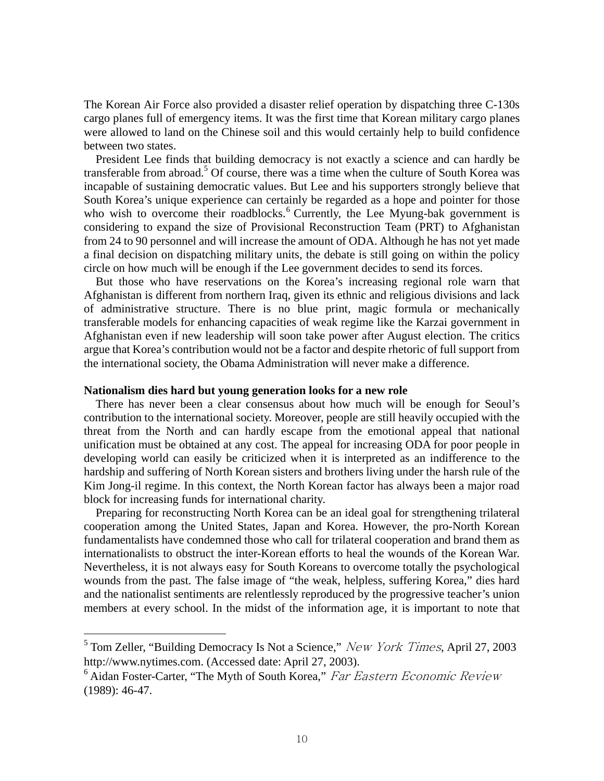The Korean Air Force also provided a disaster relief operation by dispatching three C-130s cargo planes full of emergency items. It was the first time that Korean military cargo planes were allowed to land on the Chinese soil and this would certainly help to build confidence between two states.

President Lee finds that building democracy is not exactly a science and can hardly be transferable from abroad.<sup>5</sup> Of course, there was a time when the culture of South Korea was incapable of sustaining democratic values. But Lee and his supporters strongly believe that South Korea's unique experience can certainly be regarded as a hope and pointer for those who wish to overcome their roadblocks.<sup>6</sup> Currently, the Lee Myung-bak government is considering to expand the size of Provisional Reconstruction Team (PRT) to Afghanistan from 24 to 90 personnel and will increase the amount of ODA. Although he has not yet made a final decision on dispatching military units, the debate is still going on within the policy circle on how much will be enough if the Lee government decides to send its forces.

But those who have reservations on the Korea's increasing regional role warn that Afghanistan is different from northern Iraq, given its ethnic and religious divisions and lack of administrative structure. There is no blue print, magic formula or mechanically transferable models for enhancing capacities of weak regime like the Karzai government in Afghanistan even if new leadership will soon take power after August election. The critics argue that Korea's contribution would not be a factor and despite rhetoric of full support from the international society, the Obama Administration will never make a difference.

#### **Nationalism dies hard but young generation looks for a new role**

 $\overline{a}$ 

There has never been a clear consensus about how much will be enough for Seoul's contribution to the international society. Moreover, people are still heavily occupied with the threat from the North and can hardly escape from the emotional appeal that national unification must be obtained at any cost. The appeal for increasing ODA for poor people in developing world can easily be criticized when it is interpreted as an indifference to the hardship and suffering of North Korean sisters and brothers living under the harsh rule of the Kim Jong-il regime. In this context, the North Korean factor has always been a major road block for increasing funds for international charity.

Preparing for reconstructing North Korea can be an ideal goal for strengthening trilateral cooperation among the United States, Japan and Korea. However, the pro-North Korean fundamentalists have condemned those who call for trilateral cooperation and brand them as internationalists to obstruct the inter-Korean efforts to heal the wounds of the Korean War. Nevertheless, it is not always easy for South Koreans to overcome totally the psychological wounds from the past. The false image of "the weak, helpless, suffering Korea," dies hard and the nationalist sentiments are relentlessly reproduced by the progressive teacher's union members at every school. In the midst of the information age, it is important to note that

<sup>5</sup> Tom Zeller, "Building Democracy Is Not a Science," New York Times*,* April 27, 2003 http://www.nytimes.com. (Accessed date: April 27, 2003).

 $6$  Aidan Foster-Carter, "The Myth of South Korea," Far Eastern Economic Review (1989): 46-47.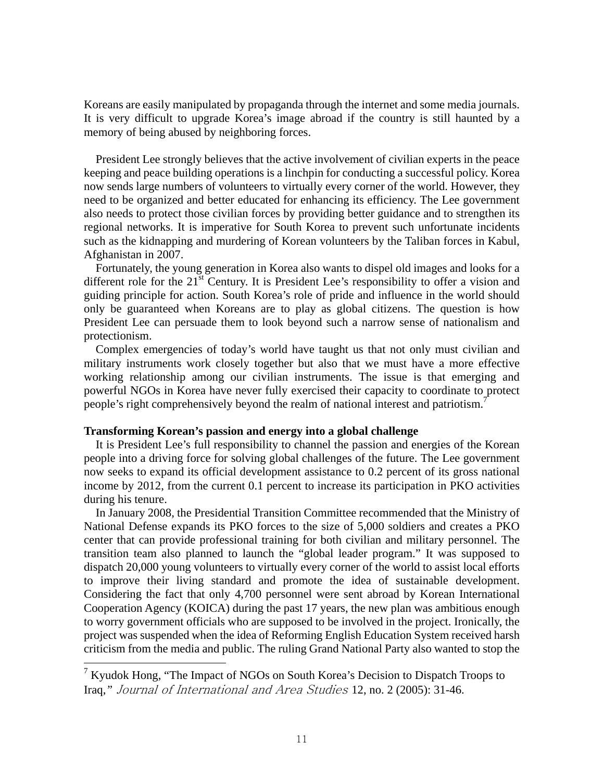Koreans are easily manipulated by propaganda through the internet and some media journals. It is very difficult to upgrade Korea's image abroad if the country is still haunted by a memory of being abused by neighboring forces.

President Lee strongly believes that the active involvement of civilian experts in the peace keeping and peace building operations is a linchpin for conducting a successful policy. Korea now sends large numbers of volunteers to virtually every corner of the world. However, they need to be organized and better educated for enhancing its efficiency. The Lee government also needs to protect those civilian forces by providing better guidance and to strengthen its regional networks. It is imperative for South Korea to prevent such unfortunate incidents such as the kidnapping and murdering of Korean volunteers by the Taliban forces in Kabul, Afghanistan in 2007.

Fortunately, the young generation in Korea also wants to dispel old images and looks for a different role for the  $21<sup>st</sup>$  Century. It is President Lee's responsibility to offer a vision and guiding principle for action. South Korea's role of pride and influence in the world should only be guaranteed when Koreans are to play as global citizens. The question is how President Lee can persuade them to look beyond such a narrow sense of nationalism and protectionism.

Complex emergencies of today's world have taught us that not only must civilian and military instruments work closely together but also that we must have a more effective working relationship among our civilian instruments. The issue is that emerging and powerful NGOs in Korea have never fully exercised their capacity to coordinate to protect people's right comprehensively beyond the realm of national interest and patriotism.<sup>7</sup>

# **Transforming Korean's passion and energy into a global challenge**

 $\overline{a}$ 

It is President Lee's full responsibility to channel the passion and energies of the Korean people into a driving force for solving global challenges of the future. The Lee government now seeks to expand its official development assistance to 0.2 percent of its gross national income by 2012, from the current 0.1 percent to increase its participation in PKO activities during his tenure.

In January 2008, the Presidential Transition Committee recommended that the Ministry of National Defense expands its PKO forces to the size of 5,000 soldiers and creates a PKO center that can provide professional training for both civilian and military personnel. The transition team also planned to launch the "global leader program." It was supposed to dispatch 20,000 young volunteers to virtually every corner of the world to assist local efforts to improve their living standard and promote the idea of sustainable development. Considering the fact that only 4,700 personnel were sent abroad by Korean International Cooperation Agency (KOICA) during the past 17 years, the new plan was ambitious enough to worry government officials who are supposed to be involved in the project. Ironically, the project was suspended when the idea of Reforming English Education System received harsh criticism from the media and public. The ruling Grand National Party also wanted to stop the

<sup>&</sup>lt;sup>7</sup> Kyudok Hong, "The Impact of NGOs on South Korea's Decision to Dispatch Troops to Iraq,*"* Journal of International and Area Studies 12, no. 2 (2005): 31-46.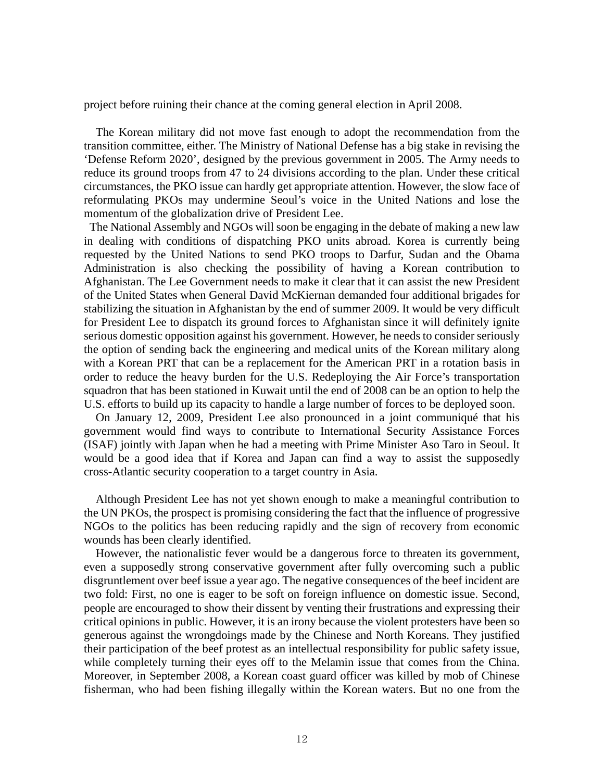project before ruining their chance at the coming general election in April 2008.

The Korean military did not move fast enough to adopt the recommendation from the transition committee, either. The Ministry of National Defense has a big stake in revising the 'Defense Reform 2020', designed by the previous government in 2005. The Army needs to reduce its ground troops from 47 to 24 divisions according to the plan. Under these critical circumstances, the PKO issue can hardly get appropriate attention. However, the slow face of reformulating PKOs may undermine Seoul's voice in the United Nations and lose the momentum of the globalization drive of President Lee.

 The National Assembly and NGOs will soon be engaging in the debate of making a new law in dealing with conditions of dispatching PKO units abroad. Korea is currently being requested by the United Nations to send PKO troops to Darfur, Sudan and the Obama Administration is also checking the possibility of having a Korean contribution to Afghanistan. The Lee Government needs to make it clear that it can assist the new President of the United States when General David McKiernan demanded four additional brigades for stabilizing the situation in Afghanistan by the end of summer 2009. It would be very difficult for President Lee to dispatch its ground forces to Afghanistan since it will definitely ignite serious domestic opposition against his government. However, he needs to consider seriously the option of sending back the engineering and medical units of the Korean military along with a Korean PRT that can be a replacement for the American PRT in a rotation basis in order to reduce the heavy burden for the U.S. Redeploying the Air Force's transportation squadron that has been stationed in Kuwait until the end of 2008 can be an option to help the U.S. efforts to build up its capacity to handle a large number of forces to be deployed soon.

On January 12, 2009, President Lee also pronounced in a joint communiqué that his government would find ways to contribute to International Security Assistance Forces (ISAF) jointly with Japan when he had a meeting with Prime Minister Aso Taro in Seoul. It would be a good idea that if Korea and Japan can find a way to assist the supposedly cross-Atlantic security cooperation to a target country in Asia.

Although President Lee has not yet shown enough to make a meaningful contribution to the UN PKOs, the prospect is promising considering the fact that the influence of progressive NGOs to the politics has been reducing rapidly and the sign of recovery from economic wounds has been clearly identified.

However, the nationalistic fever would be a dangerous force to threaten its government, even a supposedly strong conservative government after fully overcoming such a public disgruntlement over beef issue a year ago. The negative consequences of the beef incident are two fold: First, no one is eager to be soft on foreign influence on domestic issue. Second, people are encouraged to show their dissent by venting their frustrations and expressing their critical opinions in public. However, it is an irony because the violent protesters have been so generous against the wrongdoings made by the Chinese and North Koreans. They justified their participation of the beef protest as an intellectual responsibility for public safety issue, while completely turning their eyes off to the Melamin issue that comes from the China. Moreover, in September 2008, a Korean coast guard officer was killed by mob of Chinese fisherman, who had been fishing illegally within the Korean waters. But no one from the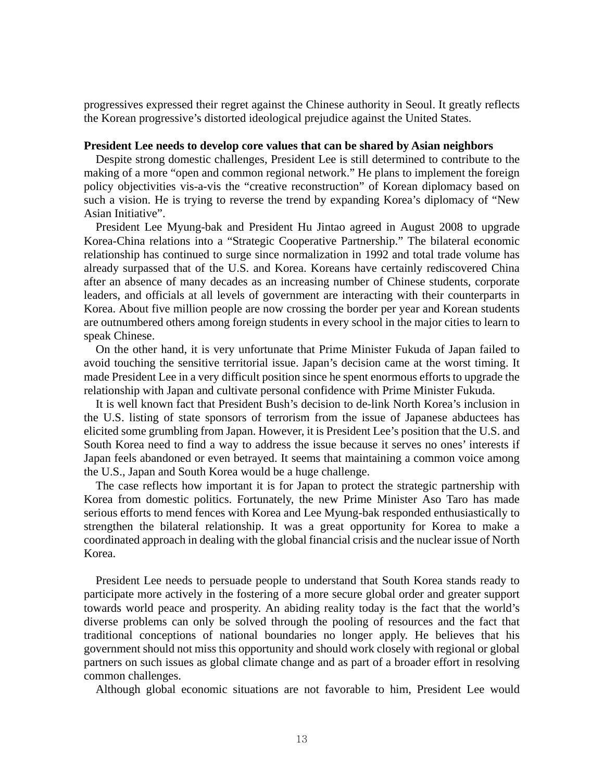progressives expressed their regret against the Chinese authority in Seoul. It greatly reflects the Korean progressive's distorted ideological prejudice against the United States.

### **President Lee needs to develop core values that can be shared by Asian neighbors**

Despite strong domestic challenges, President Lee is still determined to contribute to the making of a more "open and common regional network." He plans to implement the foreign policy objectivities vis-a-vis the "creative reconstruction" of Korean diplomacy based on such a vision. He is trying to reverse the trend by expanding Korea's diplomacy of "New Asian Initiative".

President Lee Myung-bak and President Hu Jintao agreed in August 2008 to upgrade Korea-China relations into a "Strategic Cooperative Partnership." The bilateral economic relationship has continued to surge since normalization in 1992 and total trade volume has already surpassed that of the U.S. and Korea. Koreans have certainly rediscovered China after an absence of many decades as an increasing number of Chinese students, corporate leaders, and officials at all levels of government are interacting with their counterparts in Korea. About five million people are now crossing the border per year and Korean students are outnumbered others among foreign students in every school in the major cities to learn to speak Chinese.

On the other hand, it is very unfortunate that Prime Minister Fukuda of Japan failed to avoid touching the sensitive territorial issue. Japan's decision came at the worst timing. It made President Lee in a very difficult position since he spent enormous efforts to upgrade the relationship with Japan and cultivate personal confidence with Prime Minister Fukuda.

It is well known fact that President Bush's decision to de-link North Korea's inclusion in the U.S. listing of state sponsors of terrorism from the issue of Japanese abductees has elicited some grumbling from Japan. However, it is President Lee's position that the U.S. and South Korea need to find a way to address the issue because it serves no ones' interests if Japan feels abandoned or even betrayed. It seems that maintaining a common voice among the U.S., Japan and South Korea would be a huge challenge.

The case reflects how important it is for Japan to protect the strategic partnership with Korea from domestic politics. Fortunately, the new Prime Minister Aso Taro has made serious efforts to mend fences with Korea and Lee Myung-bak responded enthusiastically to strengthen the bilateral relationship. It was a great opportunity for Korea to make a coordinated approach in dealing with the global financial crisis and the nuclear issue of North Korea.

President Lee needs to persuade people to understand that South Korea stands ready to participate more actively in the fostering of a more secure global order and greater support towards world peace and prosperity. An abiding reality today is the fact that the world's diverse problems can only be solved through the pooling of resources and the fact that traditional conceptions of national boundaries no longer apply. He believes that his government should not miss this opportunity and should work closely with regional or global partners on such issues as global climate change and as part of a broader effort in resolving common challenges.

Although global economic situations are not favorable to him, President Lee would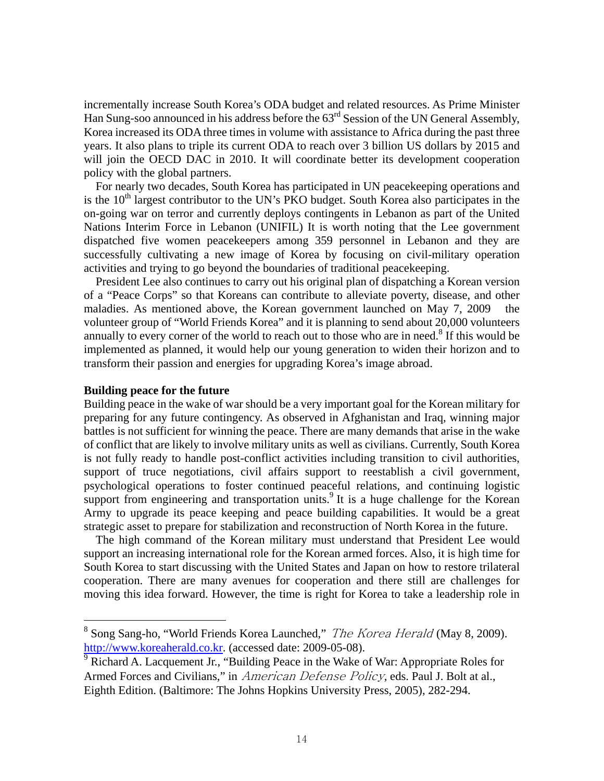incrementally increase South Korea's ODA budget and related resources. As Prime Minister Han Sung-soo announced in his address before the  $63<sup>rd</sup>$  Session of the UN General Assembly, Korea increased its ODA three times in volume with assistance to Africa during the past three years. It also plans to triple its current ODA to reach over 3 billion US dollars by 2015 and will join the OECD DAC in 2010. It will coordinate better its development cooperation policy with the global partners.

For nearly two decades, South Korea has participated in UN peacekeeping operations and is the  $10<sup>th</sup>$  largest contributor to the UN's PKO budget. South Korea also participates in the on-going war on terror and currently deploys contingents in Lebanon as part of the United Nations Interim Force in Lebanon (UNIFIL) It is worth noting that the Lee government dispatched five women peacekeepers among 359 personnel in Lebanon and they are successfully cultivating a new image of Korea by focusing on civil-military operation activities and trying to go beyond the boundaries of traditional peacekeeping.

President Lee also continues to carry out his original plan of dispatching a Korean version of a "Peace Corps" so that Koreans can contribute to alleviate poverty, disease, and other maladies. As mentioned above, the Korean government launched on May 7, 2009 the volunteer group of "World Friends Korea" and it is planning to send about 20,000 volunteers annually to every corner of the world to reach out to those who are in need.<sup>8</sup> If this would be implemented as planned, it would help our young generation to widen their horizon and to transform their passion and energies for upgrading Korea's image abroad.

## **Building peace for the future**

 $\overline{a}$ 

Building peace in the wake of war should be a very important goal for the Korean military for preparing for any future contingency. As observed in Afghanistan and Iraq, winning major battles is not sufficient for winning the peace. There are many demands that arise in the wake of conflict that are likely to involve military units as well as civilians. Currently, South Korea is not fully ready to handle post-conflict activities including transition to civil authorities, support of truce negotiations, civil affairs support to reestablish a civil government, psychological operations to foster continued peaceful relations, and continuing logistic support from engineering and transportation units.<sup>9</sup> It is a huge challenge for the Korean Army to upgrade its peace keeping and peace building capabilities. It would be a great strategic asset to prepare for stabilization and reconstruction of North Korea in the future.

The high command of the Korean military must understand that President Lee would support an increasing international role for the Korean armed forces. Also, it is high time for South Korea to start discussing with the United States and Japan on how to restore trilateral cooperation. There are many avenues for cooperation and there still are challenges for moving this idea forward. However, the time is right for Korea to take a leadership role in

<sup>&</sup>lt;sup>8</sup> Song Sang-ho, "World Friends Korea Launched," *The Korea Herald* (May 8, 2009). http://www.koreaherald.co.kr. (accessed date: 2009-05-08).

 $\overline{9}$  Richard A. Lacquement Jr., "Building Peace in the Wake of War: Appropriate Roles for Armed Forces and Civilians," in American Defense Policy*,* eds. Paul J. Bolt at al., Eighth Edition. (Baltimore: The Johns Hopkins University Press, 2005), 282-294.